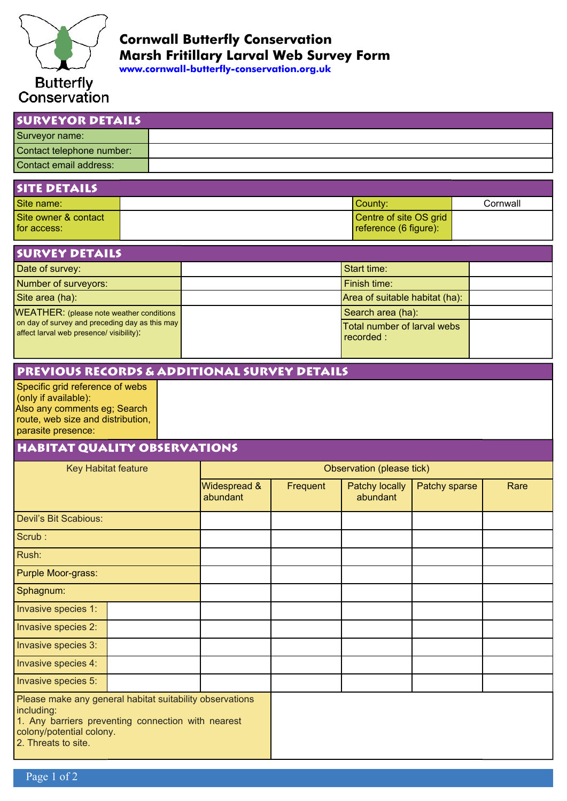

## **Cornwall Butterfly Conservation Marsh Fritillary Larval Web Survey Form**

**[www.cornwall-butterfly-conservation.org.uk](http://www.cornwall-butterfly-conservation.org.uk)**

| <b>SURVEYOR DETAILS</b>   |  |  |  |  |
|---------------------------|--|--|--|--|
| Surveyor name:            |  |  |  |  |
| Contact telephone number: |  |  |  |  |
| Contact email address:    |  |  |  |  |

| <b>SITE DETAILS</b>                 |                                                 |          |
|-------------------------------------|-------------------------------------------------|----------|
| Site name:                          | l Countv:                                       | Cornwall |
| Site owner & contact<br>for access: | Centre of site OS grid<br>reference (6 figure): |          |

| <b>SURVEY DETAILS</b>                                                                      |  |                                          |  |  |  |
|--------------------------------------------------------------------------------------------|--|------------------------------------------|--|--|--|
| Date of survey:                                                                            |  | <b>Start time:</b>                       |  |  |  |
| Number of surveyors:                                                                       |  | Finish time:                             |  |  |  |
| Site area (ha):                                                                            |  | Area of suitable habitat (ha):           |  |  |  |
| WEATHER: (please note weather conditions                                                   |  | Search area (ha):                        |  |  |  |
| on day of survey and preceding day as this may<br>affect larval web presence/ visibility): |  | Total number of larval webs<br>recorded: |  |  |  |

## **Previous records & additional survey Details**

Specific grid reference of webs (only if available): Also any comments eg; Search route, web size and distribution, parasite presence:

## **Habitat Quality Observations**

| <b>Key Habitat feature</b>                                                                                                                                                      |  | Observation (please tick) |          |                            |               |      |  |
|---------------------------------------------------------------------------------------------------------------------------------------------------------------------------------|--|---------------------------|----------|----------------------------|---------------|------|--|
|                                                                                                                                                                                 |  | Widespread &<br>abundant  | Frequent | Patchy locally<br>abundant | Patchy sparse | Rare |  |
| Devil's Bit Scabious:                                                                                                                                                           |  |                           |          |                            |               |      |  |
| Scrub:                                                                                                                                                                          |  |                           |          |                            |               |      |  |
| Rush:                                                                                                                                                                           |  |                           |          |                            |               |      |  |
| Purple Moor-grass:                                                                                                                                                              |  |                           |          |                            |               |      |  |
| Sphagnum:                                                                                                                                                                       |  |                           |          |                            |               |      |  |
| Invasive species 1:                                                                                                                                                             |  |                           |          |                            |               |      |  |
| Invasive species 2:                                                                                                                                                             |  |                           |          |                            |               |      |  |
| Invasive species 3:                                                                                                                                                             |  |                           |          |                            |               |      |  |
| Invasive species 4:                                                                                                                                                             |  |                           |          |                            |               |      |  |
| Invasive species 5:                                                                                                                                                             |  |                           |          |                            |               |      |  |
| Please make any general habitat suitability observations<br>including:<br>1. Any barriers preventing connection with nearest<br>colony/potential colony.<br>2. Threats to site. |  |                           |          |                            |               |      |  |